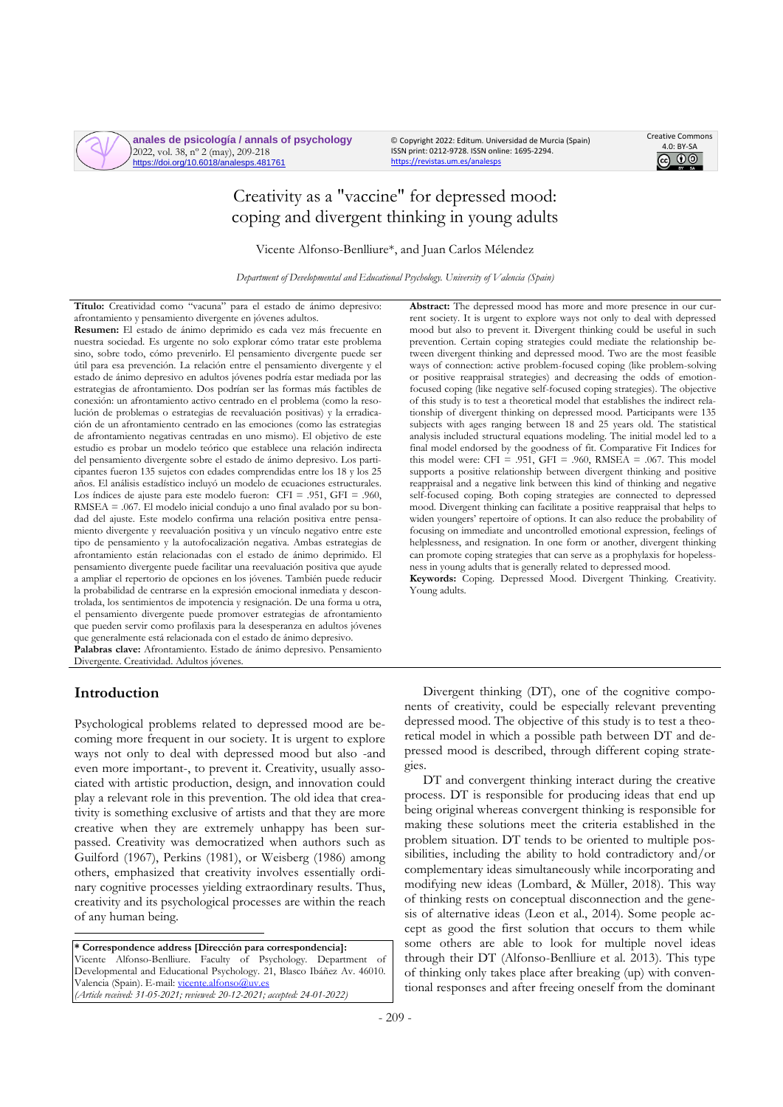**anales de psicología / annals of psychology** 2022, vol. 38, nº 2 (may), 209-218 https://doi.org/10.6018/analesps.481761

© Copyright 2022: Editum. Universidad de Murcia (Spain) ISSN print: 0212-9728. ISSN online: 1695-2294. <https://revistas.um.es/analesps>



# Creativity as a "vaccine" for depressed mood: coping and divergent thinking in young adults

Vicente Alfonso-Benlliure\*, and Juan Carlos Mélendez

*Department of Developmental and Educational Psychology. University of Valencia (Spain)*

**Título:** Creatividad como "vacuna" para el estado de ánimo depresivo: afrontamiento y pensamiento divergente en jóvenes adultos.

**Resumen:** El estado de ánimo deprimido es cada vez más frecuente en nuestra sociedad. Es urgente no solo explorar cómo tratar este problema sino, sobre todo, cómo prevenirlo. El pensamiento divergente puede ser útil para esa prevención. La relación entre el pensamiento divergente y el estado de ánimo depresivo en adultos jóvenes podría estar mediada por las estrategias de afrontamiento. Dos podrían ser las formas más factibles de conexión: un afrontamiento activo centrado en el problema (como la resolución de problemas o estrategias de reevaluación positivas) y la erradicación de un afrontamiento centrado en las emociones (como las estrategias de afrontamiento negativas centradas en uno mismo). El objetivo de este estudio es probar un modelo teórico que establece una relación indirecta del pensamiento divergente sobre el estado de ánimo depresivo. Los participantes fueron 135 sujetos con edades comprendidas entre los 18 y los 25 años. El análisis estadístico incluyó un modelo de ecuaciones estructurales. Los índices de ajuste para este modelo fueron: CFI = .951, GFI = .960, RMSEA = .067. El modelo inicial condujo a uno final avalado por su bondad del ajuste. Este modelo confirma una relación positiva entre pensamiento divergente y reevaluación positiva y un vínculo negativo entre este tipo de pensamiento y la autofocalización negativa. Ambas estrategias de afrontamiento están relacionadas con el estado de ánimo deprimido. El pensamiento divergente puede facilitar una reevaluación positiva que ayude a ampliar el repertorio de opciones en los jóvenes. También puede reducir la probabilidad de centrarse en la expresión emocional inmediata y descontrolada, los sentimientos de impotencia y resignación. De una forma u otra, el pensamiento divergente puede promover estrategias de afrontamiento que pueden servir como profilaxis para la desesperanza en adultos jóvenes que generalmente está relacionada con el estado de ánimo depresivo. **Palabras clave:** Afrontamiento. Estado de ánimo depresivo. Pensamiento Divergente. Creatividad. Adultos jóvenes.

# **Introduction**

Psychological problems related to depressed mood are becoming more frequent in our society. It is urgent to explore ways not only to deal with depressed mood but also -and even more important-, to prevent it. Creativity, usually associated with artistic production, design, and innovation could play a relevant role in this prevention. The old idea that creativity is something exclusive of artists and that they are more creative when they are extremely unhappy has been surpassed. Creativity was democratized when authors such as Guilford (1967), Perkins (1981), or Weisberg (1986) among others, emphasized that creativity involves essentially ordinary cognitive processes yielding extraordinary results. Thus, creativity and its psychological processes are within the reach of any human being.

**\* Correspondence address [Dirección para correspondencia]:** Vicente Alfonso-Benlliure. Faculty of Psychology. Department of Developmental and Educational Psychology. 21, Blasco Ibáñez Av. 46010. Valencia (Spain). E-mail[: vicente.alfonso@uv.es](mailto:vicente.alfonso@uv.es) *(Article received: 31-05-2021; reviewed: 20-12-2021; accepted: 24-01-2022)*

**Abstract:** The depressed mood has more and more presence in our current society. It is urgent to explore ways not only to deal with depressed mood but also to prevent it. Divergent thinking could be useful in such prevention. Certain coping strategies could mediate the relationship between divergent thinking and depressed mood. Two are the most feasible ways of connection: active problem-focused coping (like problem-solving or positive reappraisal strategies) and decreasing the odds of emotionfocused coping (like negative self-focused coping strategies). The objective of this study is to test a theoretical model that establishes the indirect relationship of divergent thinking on depressed mood. Participants were 135 subjects with ages ranging between 18 and 25 years old. The statistical analysis included structural equations modeling. The initial model led to a final model endorsed by the goodness of fit. Comparative Fit Indices for this model were: CFI = .951, GFI = .960, RMSEA = .067. This model supports a positive relationship between divergent thinking and positive reappraisal and a negative link between this kind of thinking and negative self-focused coping. Both coping strategies are connected to depressed mood. Divergent thinking can facilitate a positive reappraisal that helps to widen youngers' repertoire of options. It can also reduce the probability of focusing on immediate and uncontrolled emotional expression, feelings of helplessness, and resignation. In one form or another, divergent thinking can promote coping strategies that can serve as a prophylaxis for hopelessness in young adults that is generally related to depressed mood.

**Keywords:** Coping. Depressed Mood. Divergent Thinking. Creativity. Young adults.

Divergent thinking (DT), one of the cognitive components of creativity, could be especially relevant preventing depressed mood. The objective of this study is to test a theoretical model in which a possible path between DT and depressed mood is described, through different coping strategies.

DT and convergent thinking interact during the creative process. DT is responsible for producing ideas that end up being original whereas convergent thinking is responsible for making these solutions meet the criteria established in the problem situation. DT tends to be oriented to multiple possibilities, including the ability to hold contradictory and/or complementary ideas simultaneously while incorporating and modifying new ideas (Lombard, & Müller, 2018). This way of thinking rests on conceptual disconnection and the genesis of alternative ideas (Leon et al., 2014). Some people accept as good the first solution that occurs to them while some others are able to look for multiple novel ideas through their DT (Alfonso-Benlliure et al. 2013). This type of thinking only takes place after breaking (up) with conventional responses and after freeing oneself from the dominant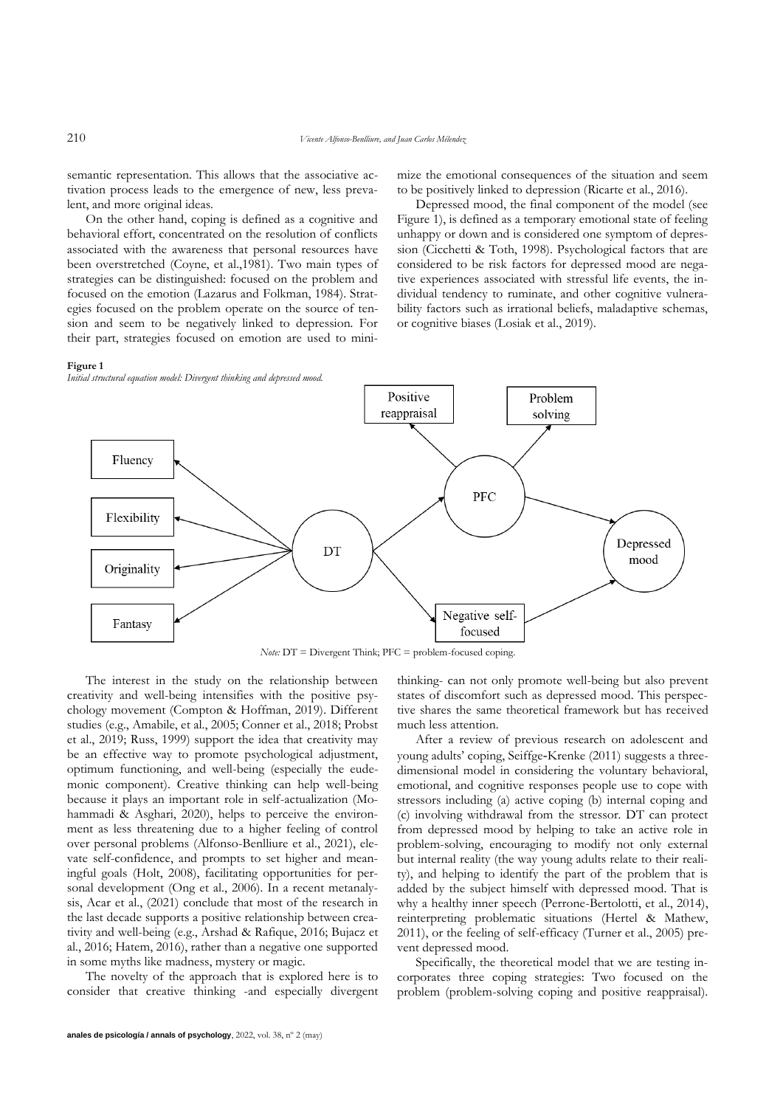semantic representation. This allows that the associative activation process leads to the emergence of new, less prevalent, and more original ideas.

On the other hand, coping is defined as a cognitive and behavioral effort, concentrated on the resolution of conflicts associated with the awareness that personal resources have been overstretched (Coyne, et al.,1981). Two main types of strategies can be distinguished: focused on the problem and focused on the emotion (Lazarus and Folkman, 1984). Strategies focused on the problem operate on the source of tension and seem to be negatively linked to depression. For their part, strategies focused on emotion are used to mini-

**Figure 1**

mize the emotional consequences of the situation and seem to be positively linked to depression (Ricarte et al., 2016).

Depressed mood, the final component of the model (see Figure 1), is defined as a temporary emotional state of feeling unhappy or down and is considered one symptom of depression (Cicchetti & Toth, 1998). Psychological factors that are considered to be risk factors for depressed mood are negative experiences associated with stressful life events, the individual tendency to ruminate, and other cognitive vulnerability factors such as irrational beliefs, maladaptive schemas, or cognitive biases (Losiak et al., 2019).



*Note:* DT = Divergent Think; PFC = problem-focused coping.

The interest in the study on the relationship between creativity and well-being intensifies with the positive psychology movement (Compton & Hoffman, 2019). Different studies (e.g., Amabile, et al., 2005; Conner et al., 2018; Probst et al., 2019; Russ, 1999) support the idea that creativity may be an effective way to promote psychological adjustment, optimum functioning, and well-being (especially the eudemonic component). Creative thinking can help well-being because it plays an important role in self-actualization (Mohammadi & Asghari, 2020), helps to perceive the environment as less threatening due to a higher feeling of control over personal problems (Alfonso-Benlliure et al., 2021), elevate self-confidence, and prompts to set higher and meaningful goals (Holt, 2008), facilitating opportunities for personal development (Ong et al., 2006). In a recent metanalysis, Acar et al., (2021) conclude that most of the research in the last decade supports a positive relationship between creativity and well-being (e.g., Arshad & Rafique, 2016; Bujacz et al., 2016; Hatem, 2016), rather than a negative one supported in some myths like madness, mystery or magic.

The novelty of the approach that is explored here is to consider that creative thinking -and especially divergent

**anales de psicología / annals of psychology**, 2022, vol. 38, nº 2 (may)

thinking- can not only promote well-being but also prevent states of discomfort such as depressed mood. This perspective shares the same theoretical framework but has received much less attention.

After a review of previous research on adolescent and young adults' coping, Seiffge‐Krenke (2011) suggests a threedimensional model in considering the voluntary behavioral, emotional, and cognitive responses people use to cope with stressors including (a) active coping (b) internal coping and (c) involving withdrawal from the stressor. DT can protect from depressed mood by helping to take an active role in problem-solving, encouraging to modify not only external but internal reality (the way young adults relate to their reality), and helping to identify the part of the problem that is added by the subject himself with depressed mood. That is why a healthy inner speech (Perrone-Bertolotti, et al., 2014), reinterpreting problematic situations (Hertel & Mathew, 2011), or the feeling of self-efficacy (Turner et al., 2005) prevent depressed mood.

Specifically, the theoretical model that we are testing incorporates three coping strategies: Two focused on the problem (problem-solving coping and positive reappraisal).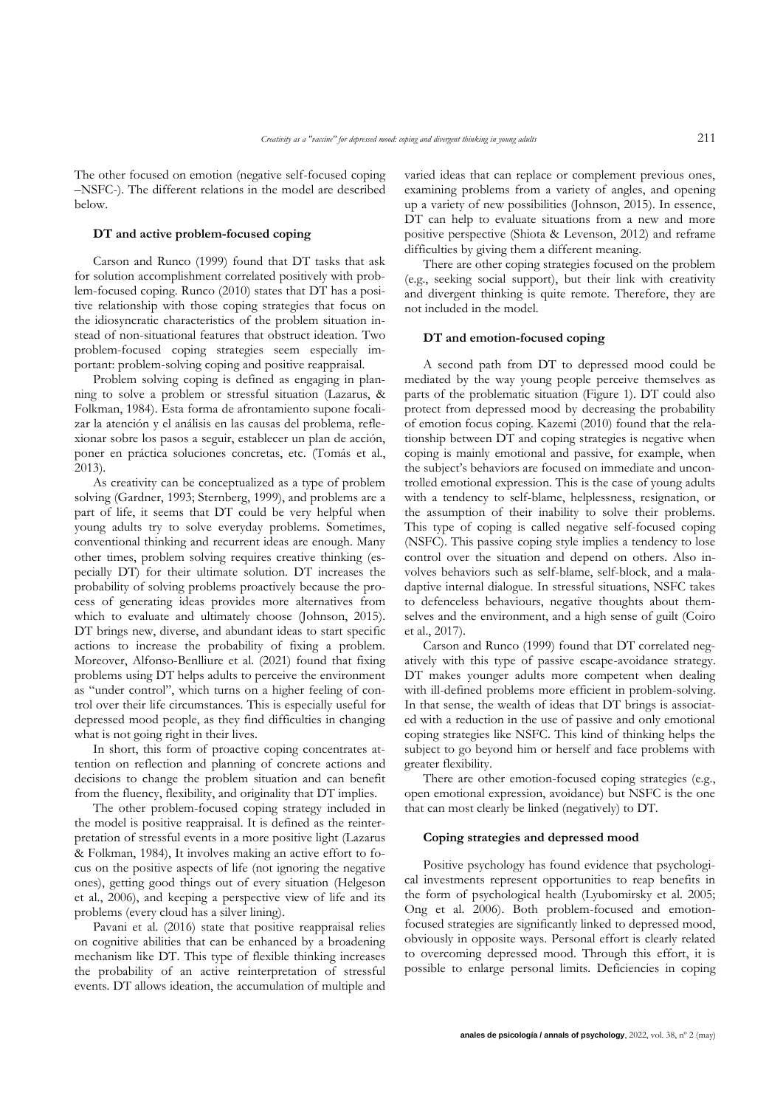The other focused on emotion (negative self-focused coping –NSFC-). The different relations in the model are described below.

### **DT and active problem-focused coping**

Carson and Runco (1999) found that DT tasks that ask for solution accomplishment correlated positively with problem-focused coping. Runco (2010) states that DT has a positive relationship with those coping strategies that focus on the idiosyncratic characteristics of the problem situation instead of non-situational features that obstruct ideation. Two problem-focused coping strategies seem especially important: problem-solving coping and positive reappraisal.

Problem solving coping is defined as engaging in planning to solve a problem or stressful situation (Lazarus, & Folkman, 1984). Esta forma de afrontamiento supone focalizar la atención y el análisis en las causas del problema, reflexionar sobre los pasos a seguir, establecer un plan de acción, poner en práctica soluciones concretas, etc. (Tomás et al., 2013).

As creativity can be conceptualized as a type of problem solving (Gardner, 1993; Sternberg, 1999), and problems are a part of life, it seems that DT could be very helpful when young adults try to solve everyday problems. Sometimes, conventional thinking and recurrent ideas are enough. Many other times, problem solving requires creative thinking (especially DT) for their ultimate solution. DT increases the probability of solving problems proactively because the process of generating ideas provides more alternatives from which to evaluate and ultimately choose (Johnson, 2015). DT brings new, diverse, and abundant ideas to start specific actions to increase the probability of fixing a problem. Moreover, Alfonso-Benlliure et al. (2021) found that fixing problems using DT helps adults to perceive the environment as "under control", which turns on a higher feeling of control over their life circumstances. This is especially useful for depressed mood people, as they find difficulties in changing what is not going right in their lives.

In short, this form of proactive coping concentrates attention on reflection and planning of concrete actions and decisions to change the problem situation and can benefit from the fluency, flexibility, and originality that DT implies.

The other problem-focused coping strategy included in the model is positive reappraisal. It is defined as the reinterpretation of stressful events in a more positive light (Lazarus & Folkman, 1984), It involves making an active effort to focus on the positive aspects of life (not ignoring the negative ones), getting good things out of every situation (Helgeson et al., 2006), and keeping a perspective view of life and its problems (every cloud has a silver lining).

Pavani et al. (2016) state that positive reappraisal relies on cognitive abilities that can be enhanced by a broadening mechanism like DT. This type of flexible thinking increases the probability of an active reinterpretation of stressful events. DT allows ideation, the accumulation of multiple and

varied ideas that can replace or complement previous ones, examining problems from a variety of angles, and opening up a variety of new possibilities (Johnson, 2015). In essence, DT can help to evaluate situations from a new and more positive perspective (Shiota & Levenson, 2012) and reframe difficulties by giving them a different meaning.

There are other coping strategies focused on the problem (e.g., seeking social support), but their link with creativity and divergent thinking is quite remote. Therefore, they are not included in the model.

#### **DT and emotion-focused coping**

A second path from DT to depressed mood could be mediated by the way young people perceive themselves as parts of the problematic situation (Figure 1). DT could also protect from depressed mood by decreasing the probability of emotion focus coping. Kazemi (2010) found that the relationship between DT and coping strategies is negative when coping is mainly emotional and passive, for example, when the subject's behaviors are focused on immediate and uncontrolled emotional expression. This is the case of young adults with a tendency to self-blame, helplessness, resignation, or the assumption of their inability to solve their problems. This type of coping is called negative self-focused coping (NSFC). This passive coping style implies a tendency to lose control over the situation and depend on others. Also involves behaviors such as self-blame, self-block, and a maladaptive internal dialogue. In stressful situations, NSFC takes to defenceless behaviours, negative thoughts about themselves and the environment, and a high sense of guilt (Coiro et al., 2017).

Carson and Runco (1999) found that DT correlated negatively with this type of passive escape-avoidance strategy. DT makes younger adults more competent when dealing with ill-defined problems more efficient in problem-solving. In that sense, the wealth of ideas that DT brings is associated with a reduction in the use of passive and only emotional coping strategies like NSFC. This kind of thinking helps the subject to go beyond him or herself and face problems with greater flexibility.

There are other emotion-focused coping strategies (e.g., open emotional expression, avoidance) but NSFC is the one that can most clearly be linked (negatively) to DT.

#### **Coping strategies and depressed mood**

Positive psychology has found evidence that psychological investments represent opportunities to reap benefits in the form of psychological health (Lyubomirsky et al. 2005; Ong et al. 2006). Both problem-focused and emotionfocused strategies are significantly linked to depressed mood, obviously in opposite ways. Personal effort is clearly related to overcoming depressed mood. Through this effort, it is possible to enlarge personal limits. Deficiencies in coping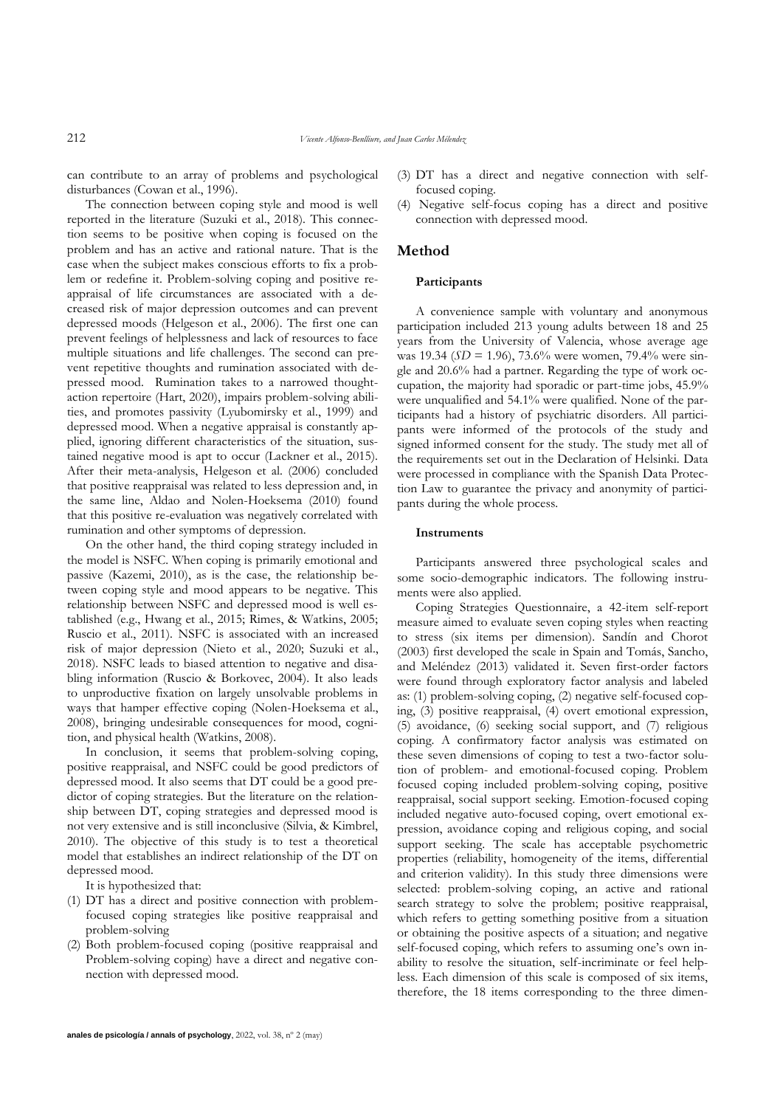212 *Vicente Alfonso-Benlliure, and Juan Carlos Mélendez*

can contribute to an array of problems and psychological disturbances (Cowan et al., 1996).

The connection between coping style and mood is well reported in the literature (Suzuki et al., 2018). This connection seems to be positive when coping is focused on the problem and has an active and rational nature. That is the case when the subject makes conscious efforts to fix a problem or redefine it. Problem-solving coping and positive reappraisal of life circumstances are associated with a decreased risk of major depression outcomes and can prevent depressed moods (Helgeson et al., 2006). The first one can prevent feelings of helplessness and lack of resources to face multiple situations and life challenges. The second can prevent repetitive thoughts and rumination associated with depressed mood. Rumination takes to a narrowed thoughtaction repertoire (Hart, 2020), impairs problem-solving abilities, and promotes passivity (Lyubomirsky et al., 1999) and depressed mood. When a negative appraisal is constantly applied, ignoring different characteristics of the situation, sustained negative mood is apt to occur (Lackner et al., 2015). After their meta-analysis, Helgeson et al. (2006) concluded that positive reappraisal was related to less depression and, in the same line, Aldao and Nolen-Hoeksema (2010) found that this positive re-evaluation was negatively correlated with rumination and other symptoms of depression.

On the other hand, the third coping strategy included in the model is NSFC. When coping is primarily emotional and passive (Kazemi, 2010), as is the case, the relationship between coping style and mood appears to be negative. This relationship between NSFC and depressed mood is well established (e.g., Hwang et al., 2015; Rimes, & Watkins, 2005; Ruscio et al., 2011). NSFC is associated with an increased risk of major depression (Nieto et al., 2020; Suzuki et al., 2018). NSFC leads to biased attention to negative and disabling information (Ruscio & Borkovec, 2004). It also leads to unproductive fixation on largely unsolvable problems in ways that hamper effective coping (Nolen-Hoeksema et al., 2008), bringing undesirable consequences for mood, cognition, and physical health (Watkins, 2008).

In conclusion, it seems that problem-solving coping, positive reappraisal, and NSFC could be good predictors of depressed mood. It also seems that DT could be a good predictor of coping strategies. But the literature on the relationship between DT, coping strategies and depressed mood is not very extensive and is still inconclusive (Silvia, & Kimbrel, 2010). The objective of this study is to test a theoretical model that establishes an indirect relationship of the DT on depressed mood.

It is hypothesized that:

- (1) DT has a direct and positive connection with problemfocused coping strategies like positive reappraisal and problem-solving
- (2) Both problem-focused coping (positive reappraisal and Problem-solving coping) have a direct and negative connection with depressed mood.
- (3) DT has a direct and negative connection with selffocused coping.
- (4) Negative self-focus coping has a direct and positive connection with depressed mood.

## **Method**

## **Participants**

A convenience sample with voluntary and anonymous participation included 213 young adults between 18 and 25 years from the University of Valencia, whose average age was 19.34 (*SD* = 1.96), 73.6% were women, 79.4% were single and 20.6% had a partner. Regarding the type of work occupation, the majority had sporadic or part-time jobs, 45.9% were unqualified and 54.1% were qualified. None of the participants had a history of psychiatric disorders. All participants were informed of the protocols of the study and signed informed consent for the study. The study met all of the requirements set out in the Declaration of Helsinki. Data were processed in compliance with the Spanish Data Protection Law to guarantee the privacy and anonymity of participants during the whole process.

#### **Instruments**

Participants answered three psychological scales and some socio-demographic indicators. The following instruments were also applied.

Coping Strategies Questionnaire, a 42-item self-report measure aimed to evaluate seven coping styles when reacting to stress (six items per dimension). Sandín and Chorot (2003) first developed the scale in Spain and Tomás, Sancho, and Meléndez (2013) validated it. Seven first-order factors were found through exploratory factor analysis and labeled as: (1) problem-solving coping, (2) negative self-focused coping, (3) positive reappraisal, (4) overt emotional expression, (5) avoidance, (6) seeking social support, and (7) religious coping. A confirmatory factor analysis was estimated on these seven dimensions of coping to test a two-factor solution of problem- and emotional-focused coping. Problem focused coping included problem-solving coping, positive reappraisal, social support seeking. Emotion-focused coping included negative auto-focused coping, overt emotional expression, avoidance coping and religious coping, and social support seeking. The scale has acceptable psychometric properties (reliability, homogeneity of the items, differential and criterion validity). In this study three dimensions were selected: problem-solving coping, an active and rational search strategy to solve the problem; positive reappraisal, which refers to getting something positive from a situation or obtaining the positive aspects of a situation; and negative self-focused coping, which refers to assuming one's own inability to resolve the situation, self-incriminate or feel helpless. Each dimension of this scale is composed of six items, therefore, the 18 items corresponding to the three dimen-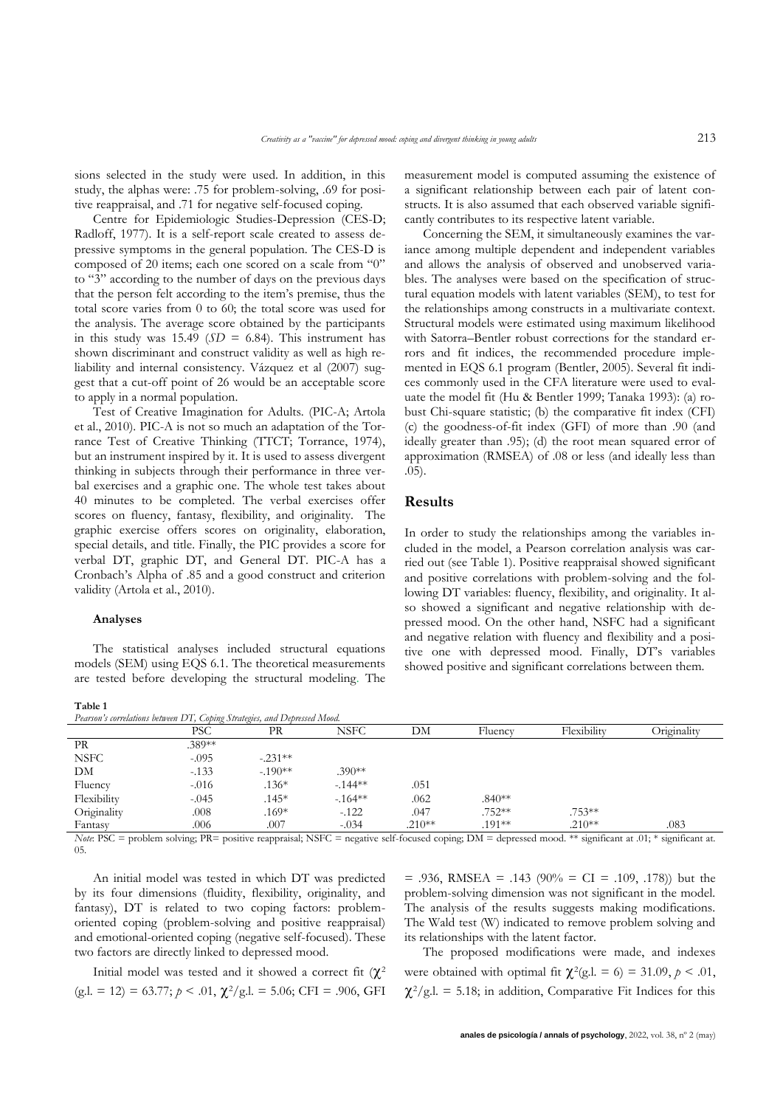sions selected in the study were used. In addition, in this study, the alphas were: .75 for problem-solving, .69 for positive reappraisal, and .71 for negative self-focused coping.

Centre for Epidemiologic Studies-Depression (CES-D; Radloff, 1977). It is a self-report scale created to assess depressive symptoms in the general population. The CES-D is composed of 20 items; each one scored on a scale from "0" to "3" according to the number of days on the previous days that the person felt according to the item's premise, thus the total score varies from 0 to 60; the total score was used for the analysis. The average score obtained by the participants in this study was 15.49 ( $SD = 6.84$ ). This instrument has shown discriminant and construct validity as well as high reliability and internal consistency. Vázquez et al (2007) suggest that a cut-off point of 26 would be an acceptable score to apply in a normal population.

Test of Creative Imagination for Adults. (PIC-A; Artola et al., 2010). PIC-A is not so much an adaptation of the Torrance Test of Creative Thinking (TTCT; Torrance, 1974), but an instrument inspired by it. It is used to assess divergent thinking in subjects through their performance in three verbal exercises and a graphic one. The whole test takes about 40 minutes to be completed. The verbal exercises offer scores on fluency, fantasy, flexibility, and originality. The graphic exercise offers scores on originality, elaboration, special details, and title. Finally, the PIC provides a score for verbal DT, graphic DT, and General DT. PIC-A has a Cronbach's Alpha of .85 and a good construct and criterion validity (Artola et al., 2010).

#### **Analyses**

The statistical analyses included structural equations models (SEM) using EQS 6.1. The theoretical measurements are tested before developing the structural modeling. The

measurement model is computed assuming the existence of a significant relationship between each pair of latent constructs. It is also assumed that each observed variable significantly contributes to its respective latent variable.

Concerning the SEM, it simultaneously examines the variance among multiple dependent and independent variables and allows the analysis of observed and unobserved variables. The analyses were based on the specification of structural equation models with latent variables (SEM), to test for the relationships among constructs in a multivariate context. Structural models were estimated using maximum likelihood with Satorra–Bentler robust corrections for the standard errors and fit indices, the recommended procedure implemented in EQS 6.1 program (Bentler, 2005). Several fit indices commonly used in the CFA literature were used to evaluate the model fit (Hu & Bentler 1999; Tanaka 1993): (a) robust Chi-square statistic; (b) the comparative fit index (CFI) (c) the goodness-of-fit index (GFI) of more than .90 (and ideally greater than .95); (d) the root mean squared error of approximation (RMSEA) of .08 or less (and ideally less than .05).

## **Results**

In order to study the relationships among the variables included in the model, a Pearson correlation analysis was carried out (see Table 1). Positive reappraisal showed significant and positive correlations with problem-solving and the following DT variables: fluency, flexibility, and originality. It also showed a significant and negative relationship with depressed mood. On the other hand, NSFC had a significant and negative relation with fluency and flexibility and a positive one with depressed mood. Finally, DT's variables showed positive and significant correlations between them.

**Table 1**

| ******                                                                    |         |           |          |          |          |             |             |
|---------------------------------------------------------------------------|---------|-----------|----------|----------|----------|-------------|-------------|
| Pearson's correlations between DT, Coping Strategies, and Depressed Mood. |         |           |          |          |          |             |             |
|                                                                           | PSC     | PR        | NSFC     | DМ       | Fluency  | Flexibility | Originality |
| PR                                                                        | .389**  |           |          |          |          |             |             |
| <b>NSFC</b>                                                               | $-.095$ | $-.231**$ |          |          |          |             |             |
| DM                                                                        | $-133$  | $-190**$  | $.390**$ |          |          |             |             |
| Fluency                                                                   | $-.016$ | $.136*$   | $-144**$ | .051     |          |             |             |
| Flexibility                                                               | $-.045$ | $.145*$   | $-164**$ | .062     | $.840**$ |             |             |
| Originality                                                               | .008    | $.169*$   | $-122$   | .047     | $.752**$ | $.753**$    |             |
| Fantasy                                                                   | .006    | .007      | $-.034$  | $.210**$ | $.191**$ | $.210**$    | .083        |
| .<br>-------                                                              | $-$     |           |          |          |          |             |             |

*Note*: PSC = problem solving; PR= positive reappraisal; NSFC = negative self-focused coping; DM = depressed mood. \*\* significant at .01; \* significant at. 05.

An initial model was tested in which DT was predicted by its four dimensions (fluidity, flexibility, originality, and fantasy), DT is related to two coping factors: problemoriented coping (problem-solving and positive reappraisal) and emotional-oriented coping (negative self-focused). These two factors are directly linked to depressed mood.

Initial model was tested and it showed a correct fit  $(\chi^2)$  $(g.l. = 12) = 63.77$ ;  $p < .01$ ,  $\chi^2/g.l. = 5.06$ ; CFI = .906, GFI  $= .936$ , RMSEA  $= .143$  (90%  $= CI = .109, .178$ )) but the problem-solving dimension was not significant in the model. The analysis of the results suggests making modifications. The Wald test (W) indicated to remove problem solving and its relationships with the latent factor.

The proposed modifications were made, and indexes were obtained with optimal fit  $\chi^2$ (g.l. = 6) = 31.09,  $p < .01$ ,  $\chi^2$ /g.l. = 5.18; in addition, Comparative Fit Indices for this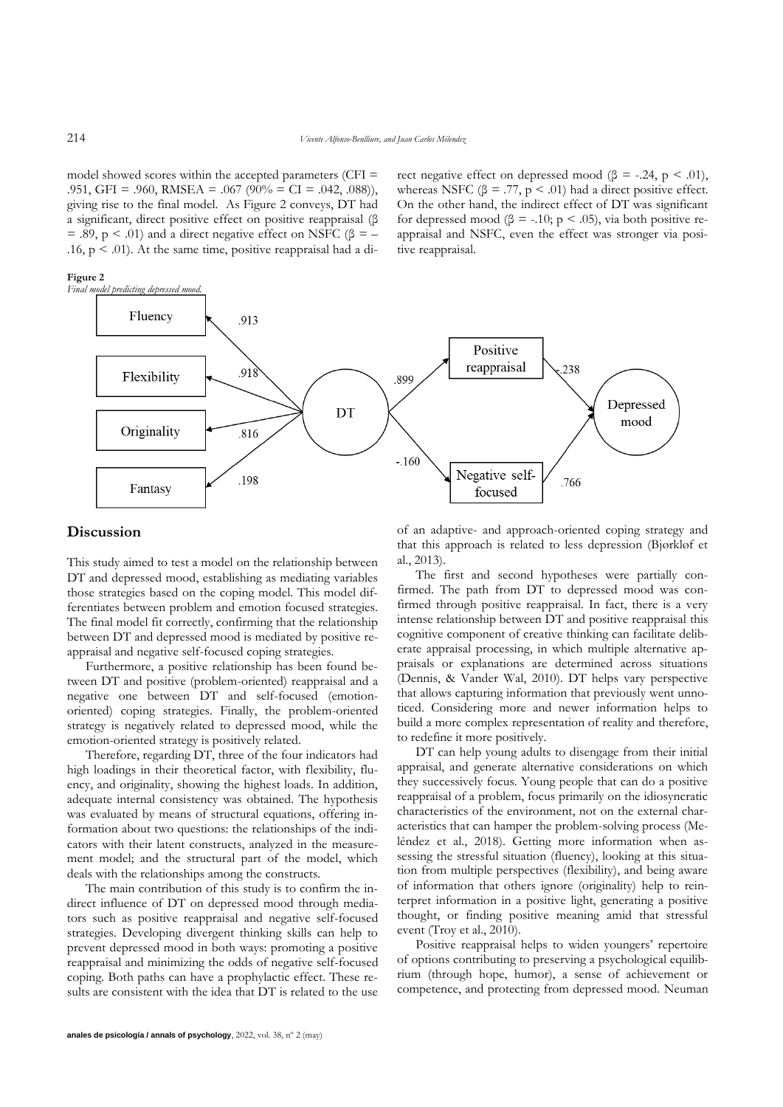model showed scores within the accepted parameters (CFI = .951, GFI = .960, RMSEA = .067 (90% = CI = .042, .088)), giving rise to the final model. As Figure 2 conveys, DT had a significant, direct positive effect on positive reappraisal (β = .89,  $p < .01$ ) and a direct negative effect on NSFC ( $\beta$  = – .16,  $p < .01$ ). At the same time, positive reappraisal had a di-

**Figure 2**

rect negative effect on depressed mood ( $\beta$  = -.24, p < .01), whereas NSFC ( $\beta$  = .77,  $p < .01$ ) had a direct positive effect. On the other hand, the indirect effect of DT was significant for depressed mood ( $\beta$  = -.10; p < .05), via both positive reappraisal and NSFC, even the effect was stronger via positive reappraisal.



## **Discussion**

This study aimed to test a model on the relationship between DT and depressed mood, establishing as mediating variables those strategies based on the coping model. This model differentiates between problem and emotion focused strategies. The final model fit correctly, confirming that the relationship between DT and depressed mood is mediated by positive reappraisal and negative self-focused coping strategies.

Furthermore, a positive relationship has been found between DT and positive (problem-oriented) reappraisal and a negative one between DT and self-focused (emotionoriented) coping strategies. Finally, the problem-oriented strategy is negatively related to depressed mood, while the emotion-oriented strategy is positively related.

Therefore, regarding DT, three of the four indicators had high loadings in their theoretical factor, with flexibility, fluency, and originality, showing the highest loads. In addition, adequate internal consistency was obtained. The hypothesis was evaluated by means of structural equations, offering information about two questions: the relationships of the indicators with their latent constructs, analyzed in the measurement model; and the structural part of the model, which deals with the relationships among the constructs.

The main contribution of this study is to confirm the indirect influence of DT on depressed mood through mediators such as positive reappraisal and negative self-focused strategies. Developing divergent thinking skills can help to prevent depressed mood in both ways: promoting a positive reappraisal and minimizing the odds of negative self-focused coping. Both paths can have a prophylactic effect. These results are consistent with the idea that DT is related to the use of an adaptive- and approach-oriented coping strategy and that this approach is related to less depression (Bjørkløf et al., 2013).

The first and second hypotheses were partially confirmed. The path from DT to depressed mood was confirmed through positive reappraisal. In fact, there is a very intense relationship between DT and positive reappraisal this cognitive component of creative thinking can facilitate deliberate appraisal processing, in which multiple alternative appraisals or explanations are determined across situations (Dennis, & Vander Wal, 2010). DT helps vary perspective that allows capturing information that previously went unnoticed. Considering more and newer information helps to build a more complex representation of reality and therefore, to redefine it more positively.

DT can help young adults to disengage from their initial appraisal, and generate alternative considerations on which they successively focus. Young people that can do a positive reappraisal of a problem, focus primarily on the idiosyncratic characteristics of the environment, not on the external characteristics that can hamper the problem-solving process (Meléndez et al., 2018). Getting more information when assessing the stressful situation (fluency), looking at this situation from multiple perspectives (flexibility), and being aware of information that others ignore (originality) help to reinterpret information in a positive light, generating a positive thought, or finding positive meaning amid that stressful event (Troy et al., 2010).

Positive reappraisal helps to widen youngers' repertoire of options contributing to preserving a psychological equilibrium (through hope, humor), a sense of achievement or competence, and protecting from depressed mood. Neuman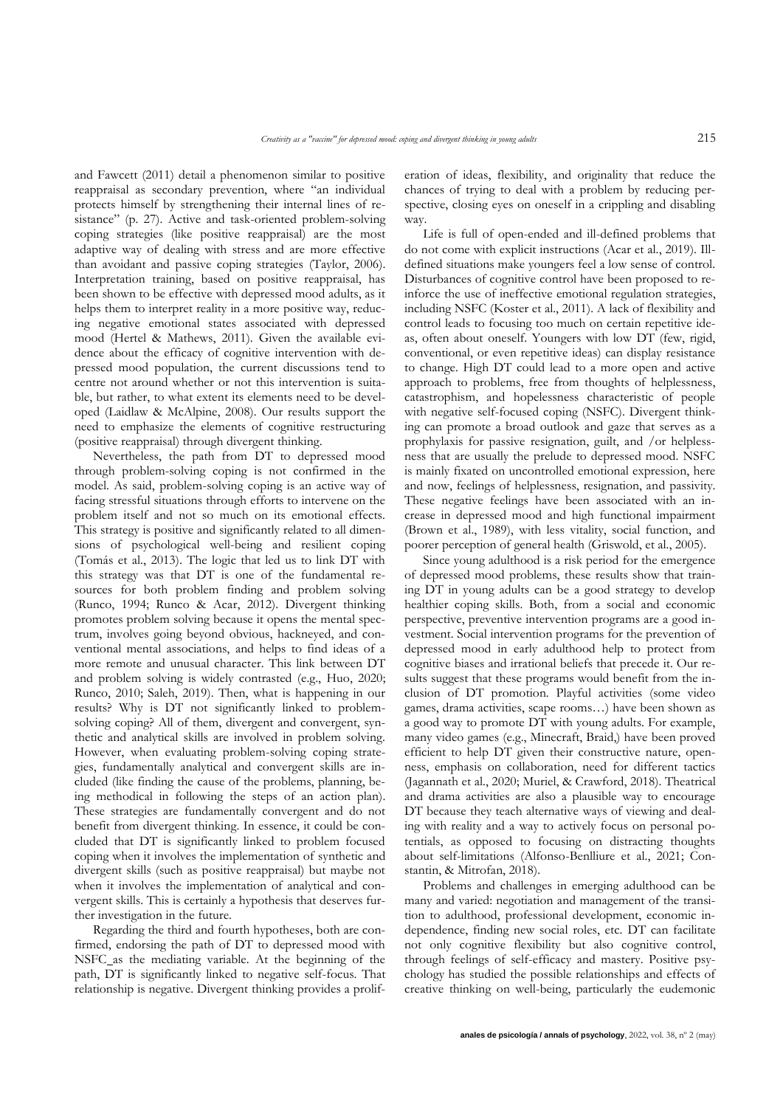and Fawcett (2011) detail a phenomenon similar to positive reappraisal as secondary prevention, where "an individual protects himself by strengthening their internal lines of resistance" (p. 27). Active and task-oriented problem-solving coping strategies (like positive reappraisal) are the most adaptive way of dealing with stress and are more effective than avoidant and passive coping strategies (Taylor, 2006). Interpretation training, based on positive reappraisal, has been shown to be effective with depressed mood adults, as it helps them to interpret reality in a more positive way, reducing negative emotional states associated with depressed mood (Hertel & Mathews, 2011). Given the available evidence about the efficacy of cognitive intervention with depressed mood population, the current discussions tend to centre not around whether or not this intervention is suitable, but rather, to what extent its elements need to be developed (Laidlaw & McAlpine, 2008). Our results support the need to emphasize the elements of cognitive restructuring (positive reappraisal) through divergent thinking.

Nevertheless, the path from DT to depressed mood through problem-solving coping is not confirmed in the model. As said, problem-solving coping is an active way of facing stressful situations through efforts to intervene on the problem itself and not so much on its emotional effects. This strategy is positive and significantly related to all dimensions of psychological well-being and resilient coping (Tomás et al., 2013). The logic that led us to link DT with this strategy was that DT is one of the fundamental resources for both problem finding and problem solving (Runco, 1994; Runco & Acar, 2012). Divergent thinking promotes problem solving because it opens the mental spectrum, involves going beyond obvious, hackneyed, and conventional mental associations, and helps to find ideas of a more remote and unusual character. This link between DT and problem solving is widely contrasted (e.g., Huo, 2020; Runco, 2010; Saleh, 2019). Then, what is happening in our results? Why is DT not significantly linked to problemsolving coping? All of them, divergent and convergent, synthetic and analytical skills are involved in problem solving. However, when evaluating problem-solving coping strategies, fundamentally analytical and convergent skills are included (like finding the cause of the problems, planning, being methodical in following the steps of an action plan). These strategies are fundamentally convergent and do not benefit from divergent thinking. In essence, it could be concluded that DT is significantly linked to problem focused coping when it involves the implementation of synthetic and divergent skills (such as positive reappraisal) but maybe not when it involves the implementation of analytical and convergent skills. This is certainly a hypothesis that deserves further investigation in the future.

Regarding the third and fourth hypotheses, both are confirmed, endorsing the path of DT to depressed mood with NSFC as the mediating variable. At the beginning of the path, DT is significantly linked to negative self-focus. That relationship is negative. Divergent thinking provides a proliferation of ideas, flexibility, and originality that reduce the chances of trying to deal with a problem by reducing perspective, closing eyes on oneself in a crippling and disabling way.

Life is full of open-ended and ill-defined problems that do not come with explicit instructions (Acar et al., 2019). Illdefined situations make youngers feel a low sense of control. Disturbances of cognitive control have been proposed to reinforce the use of ineffective emotional regulation strategies, including NSFC (Koster et al., 2011). A lack of flexibility and control leads to focusing too much on certain repetitive ideas, often about oneself. Youngers with low DT (few, rigid, conventional, or even repetitive ideas) can display resistance to change. High DT could lead to a more open and active approach to problems, free from thoughts of helplessness, catastrophism, and hopelessness characteristic of people with negative self-focused coping (NSFC). Divergent thinking can promote a broad outlook and gaze that serves as a prophylaxis for passive resignation, guilt, and /or helplessness that are usually the prelude to depressed mood. NSFC is mainly fixated on uncontrolled emotional expression, here and now, feelings of helplessness, resignation, and passivity. These negative feelings have been associated with an increase in depressed mood and high functional impairment (Brown et al., 1989), with less vitality, social function, and poorer perception of general health (Griswold, et al., 2005).

Since young adulthood is a risk period for the emergence of depressed mood problems, these results show that training DT in young adults can be a good strategy to develop healthier coping skills. Both, from a social and economic perspective, preventive intervention programs are a good investment. Social intervention programs for the prevention of depressed mood in early adulthood help to protect from cognitive biases and irrational beliefs that precede it. Our results suggest that these programs would benefit from the inclusion of DT promotion. Playful activities (some video games, drama activities, scape rooms…) have been shown as a good way to promote DT with young adults. For example, many video games (e.g., Minecraft, Braid,) have been proved efficient to help DT given their constructive nature, openness, emphasis on collaboration, need for different tactics (Jagannath et al., 2020; Muriel, & Crawford, 2018). Theatrical and drama activities are also a plausible way to encourage DT because they teach alternative ways of viewing and dealing with reality and a way to actively focus on personal potentials, as opposed to focusing on distracting thoughts about self-limitations (Alfonso-Benlliure et al., 2021; Constantin, & Mitrofan, 2018).

Problems and challenges in emerging adulthood can be many and varied: negotiation and management of the transition to adulthood, professional development, economic independence, finding new social roles, etc. DT can facilitate not only cognitive flexibility but also cognitive control, through feelings of self-efficacy and mastery. Positive psychology has studied the possible relationships and effects of creative thinking on well-being, particularly the eudemonic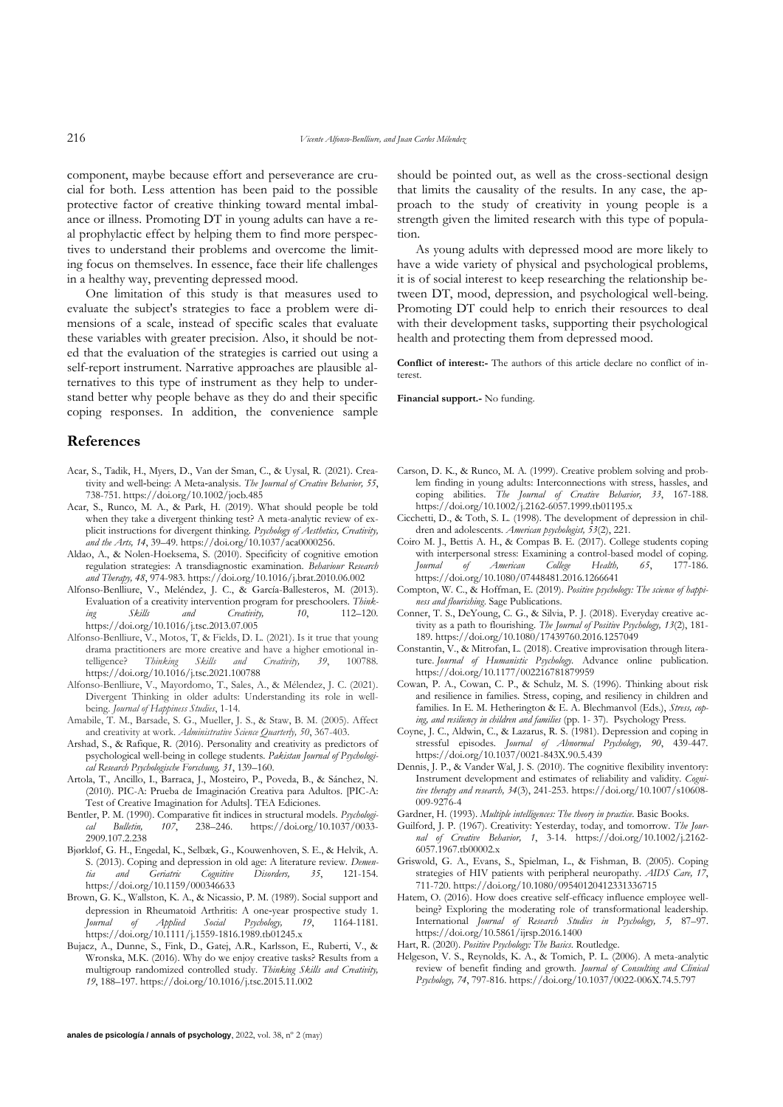component, maybe because effort and perseverance are crucial for both. Less attention has been paid to the possible protective factor of creative thinking toward mental imbalance or illness. Promoting DT in young adults can have a real prophylactic effect by helping them to find more perspectives to understand their problems and overcome the limiting focus on themselves. In essence, face their life challenges in a healthy way, preventing depressed mood.

One limitation of this study is that measures used to evaluate the subject's strategies to face a problem were dimensions of a scale, instead of specific scales that evaluate these variables with greater precision. Also, it should be noted that the evaluation of the strategies is carried out using a self-report instrument. Narrative approaches are plausible alternatives to this type of instrument as they help to understand better why people behave as they do and their specific coping responses. In addition, the convenience sample

## **References**

- Acar, S., Tadik, H., Myers, D., Van der Sman, C., & Uysal, R. (2021). Creativity and well‐being: A Meta‐analysis. *The Journal of Creative Behavior, 55*, 738-751. https://doi.org/10.1002/jocb.485
- Acar, S., Runco, M. A., & Park, H. (2019). What should people be told when they take a divergent thinking test? A meta-analytic review of explicit instructions for divergent thinking. *Psychology of Aesthetics, Creativity, and the Arts, 14*, 39–49. https://doi.org/10.1037/aca0000256.
- Aldao, A., & Nolen-Hoeksema, S. (2010). Specificity of cognitive emotion regulation strategies: A transdiagnostic examination. *Behaviour Research and Therapy, 48*, 974-983. https://doi.org/10.1016/j.brat.2010.06.002
- Alfonso-Benlliure, V., Meléndez, J. C., & García-Ballesteros, M. (2013). Evaluation of a creativity intervention program for preschoolers. *Thinking Skills and Creativity, 10*, 112–120. https://doi.org/10.1016/j.tsc.2013.07.005
- Alfonso-Benlliure, V., Motos, T, & Fields, D. L. (2021). Is it true that young drama practitioners are more creative and have a higher emotional intelligence? *Thinking Skills and Creativity, 39*, 100788. https://doi.org/10.1016/j.tsc.2021.100788
- Alfonso-Benlliure, V., Mayordomo, T., Sales, A., & Mélendez, J. C. (2021). Divergent Thinking in older adults: Understanding its role in wellbeing. *Journal of Happiness Studies*, 1-14.
- Amabile, T. M., Barsade, S. G., Mueller, J. S., & Staw, B. M. (2005). Affect and creativity at work. *Administrative Science Quarterly, 50*, 367-403.
- Arshad, S., & Rafique, R. (2016). Personality and creativity as predictors of psychological well-being in college students. *Pakistan Journal of Psychological Research Psychologische Forschung, 31*, 139–160.
- Artola, T., Ancillo, I., Barraca, J., Mosteiro, P., Poveda, B., & Sánchez, N. (2010). PIC-A: Prueba de Imaginación Creativa para Adultos. [PIC-A: Test of Creative Imagination for Adults]. TEA Ediciones.
- Bentler, P. M. (1990). Comparative fit indices in structural models. *Psychological Bulletin, 107*, 238–246. https://doi.org/10.1037/0033- 2909.107.2.238
- Bjørkløf, G. H., Engedal, K., Selbæk, G., Kouwenhoven, S. E., & Helvik, A. S. (2013). Coping and depression in old age: A literature review. *Dementia and Geriatric Cognitive Disorders, 35*, 121-154. https://doi.org/10.1159/000346633
- Brown, G. K., Wallston, K. A., & Nicassio, P. M. (1989). Social support and depression in Rheumatoid Arthritis: A one‐year prospective study 1. *Journal of Applied Social Psychology, 19*, 1164-1181. https://doi.org/10.1111/j.1559-1816.1989.tb01245.x
- Bujacz, A., Dunne, S., Fink, D., Gatej, A.R., Karlsson, E., Ruberti, V., & Wronska, M.K. (2016). Why do we enjoy creative tasks? Results from a multigroup randomized controlled study. *Thinking Skills and Creativity, 19*, 188–197. https://doi.org/10.1016/j.tsc.2015.11.002

should be pointed out, as well as the cross-sectional design that limits the causality of the results. In any case, the approach to the study of creativity in young people is a strength given the limited research with this type of population.

As young adults with depressed mood are more likely to have a wide variety of physical and psychological problems, it is of social interest to keep researching the relationship between DT, mood, depression, and psychological well-being. Promoting DT could help to enrich their resources to deal with their development tasks, supporting their psychological health and protecting them from depressed mood.

**Conflict of interest:-** The authors of this article declare no conflict of interest.

**Financial support.-** No funding.

- Carson, D. K., & Runco, M. A. (1999). Creative problem solving and problem finding in young adults: Interconnections with stress, hassles, and coping abilities. *The Journal of Creative Behavior, 33*, 167-188. https://doi.org/10.1002/j.2162-6057.1999.tb01195.x
- Cicchetti, D., & Toth, S. L. (1998). The development of depression in children and adolescents. *American psychologist, 53*(2), 221.
- Coiro M. J., Bettis A. H., & Compas B. E. (2017). College students coping with interpersonal stress: Examining a control-based model of coping. *Journal of American College Health, 65*, 177-186. https://doi.org/10.1080/07448481.2016.1266641
- Compton, W. C., & Hoffman, E. (2019). *Positive psychology: The science of happiness and flourishing*. Sage Publications.
- Conner, T. S., DeYoung, C. G., & Silvia, P. J. (2018). Everyday creative activity as a path to flourishing. *The Journal of Positive Psychology, 13*(2), 181- 189. https://doi.org/10.1080/17439760.2016.1257049
- Constantin, V., & Mitrofan, L. (2018). Creative improvisation through literature. *Journal of Humanistic Psychology.* Advance online publication. https://doi.org/10.1177/002216781879959
- Cowan, P. A., Cowan, C. P., & Schulz, M. S. (1996). Thinking about risk and resilience in families. Stress, coping, and resiliency in children and families. In E. M. Hetherington & E. A. Blechmanvol (Eds.), *Stress, coping, and resiliency in children and families* (pp. 1- 37)*.* Psychology Press.
- Coyne, J. C., Aldwin, C., & Lazarus, R. S. (1981). Depression and coping in stressful episodes. *Journal of Abnormal Psychology, 90*, 439-447. https://doi.org/10.1037/0021-843X.90.5.439
- Dennis, J. P., & Vander Wal, J. S. (2010). The cognitive flexibility inventory: Instrument development and estimates of reliability and validity. *Cognitive therapy and research, 34*(3), 241-253. https://doi.org/10.1007/s10608-  $009-9276-4$
- Gardner, H. (1993). *Multiple intelligences: The theory in practice*. Basic Books.
- Guilford, J. P. (1967). Creativity: Yesterday, today, and tomorrow. *The Journal of Creative Behavior, 1*, 3-14. https://doi.org/10.1002/j.2162- 6057.1967.tb00002.x
- Griswold, G. A., Evans, S., Spielman, L., & Fishman, B. (2005). Coping strategies of HIV patients with peripheral neuropathy. *AIDS Care, 17*, 711-720. https://doi.org/10.1080/09540120412331336715
- Hatem, O. (2016). How does creative self-efficacy influence employee wellbeing? Exploring the moderating role of transformational leadership. International *Journal of Research Studies in Psychology, 5,* 87–97. https://doi.org/10.5861/ijrsp.2016.1400
- Hart, R. (2020). *Positive Psychology: The Basics*. Routledge.
- Helgeson, V. S., Reynolds, K. A., & Tomich, P. L. (2006). A meta-analytic review of benefit finding and growth. *Journal of Consulting and Clinical Psychology, 74*, 797-816. https://doi.org/10.1037/0022-006X.74.5.797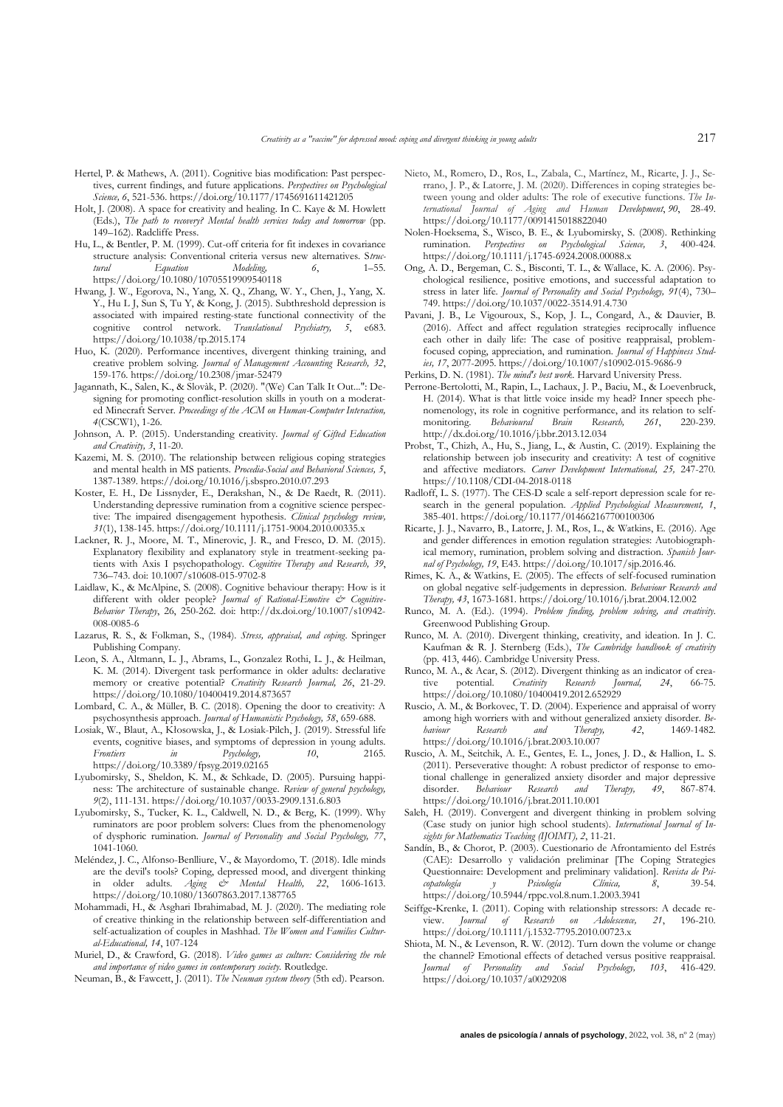- Hertel, P. & Mathews, A. (2011). Cognitive bias modification: Past perspectives, current findings, and future applications. *Perspectives on Psychological Science, 6*, 521-536. https://doi.org/10.1177/1745691611421205
- Holt, J. (2008). A space for creativity and healing. In C. Kaye & M. Howlett (Eds.), *The path to recovery? Mental health services today and tomorrow* (pp. 149–162). Radcliffe Press.
- Hu, L., & Bentler, P. M. (1999). Cut-off criteria for fit indexes in covariance structure analysis: Conventional criteria versus new alternatives. S*truc-Modeling, 6,* https://doi.org/10.1080/10705519909540118
- Hwang, J. W., Egorova, N., Yang, X. Q., Zhang, W. Y., Chen, J., Yang, X. Y., Hu L J, Sun S, Tu Y, & Kong, J. (2015). Subthreshold depression is associated with impaired resting-state functional connectivity of the cognitive control network. Translational Psychiatry, 5, e683. cognitive control network. *Translational Psychiatry, 5*, e683. https://doi.org/10.1038/tp.2015.174
- Huo, K. (2020). Performance incentives, divergent thinking training, and creative problem solving*. Journal of Management Accounting Research, 32*, 159-176. https://doi.org/10.2308/jmar-52479
- Jagannath, K., Salen, K., & Slovàk, P. (2020). "(We) Can Talk It Out...": Designing for promoting conflict-resolution skills in youth on a moderated Minecraft Server. *Proceedings of the ACM on Human-Computer Interaction, 4*(CSCW1), 1-26.
- Johnson, A. P. (2015). Understanding creativity. *Journal of Gifted Education and Creativity, 3*, 11-20.
- Kazemi, M. S. (2010). The relationship between religious coping strategies and mental health in MS patients. *Procedia-Social and Behavioral Sciences, 5*, 1387-1389. https://doi.org/10.1016/j.sbspro.2010.07.293
- Koster, E. H., De Lissnyder, E., Derakshan, N., & De Raedt, R. (2011). Understanding depressive rumination from a cognitive science perspective: The impaired disengagement hypothesis. *Clinical psychology review, 31*(1), 138-145. https://doi.org/10.1111/j.1751-9004.2010.00335.x
- Lackner, R. J., Moore, M. T., Minerovic, J. R., and Fresco, D. M. (2015). Explanatory flexibility and explanatory style in treatment-seeking patients with Axis I psychopathology. *Cognitive Therapy and Research, 39*, 736–743. doi: 10.1007/s10608-015-9702-8
- Laidlaw, K., & McAlpine, S. (2008). Cognitive behaviour therapy: How is it different with older people? Journal of Rational-Emotive & Cognitive-*Behavior Therapy*, 26, 250-262. doi: http://dx.doi.org/10.1007/s10942- 008-0085-6
- Lazarus, R. S., & Folkman, S., (1984). *Stress, appraisal, and coping*. Springer Publishing Company.
- Leon, S. A., Altmann, L. J., Abrams, L., Gonzalez Rothi, L. J., & Heilman, K. M. (2014). Divergent task performance in older adults: declarative memory or creative potential? *Creativity Research Journal, 26*, 21-29. https://doi.org/10.1080/10400419.2014.873657
- Lombard, C. A., & Müller, B. C. (2018). Opening the door to creativity: A psychosynthesis approach. *Journal of Humanistic Psychology, 58*, 659-688.
- Losiak, W., Blaut, A., Kłosowska, J., & Losiak-Pilch, J. (2019). Stressful life events, cognitive biases, and symptoms of depression in young adults. *Frontiers in Psychology, 10*, 2165. https://doi.org/10.3389/fpsyg.2019.02165
- Lyubomirsky, S., Sheldon, K. M., & Schkade, D. (2005). Pursuing happiness: The architecture of sustainable change. *Review of general psychology, 9*(2), 111-131. https://doi.org/10.1037/0033-2909.131.6.803
- Lyubomirsky, S., Tucker, K. L., Caldwell, N. D., & Berg, K. (1999). Why ruminators are poor problem solvers: Clues from the phenomenology of dysphoric rumination. *Journal of Personality and Social Psychology, 77*, 1041-1060.
- Meléndez, J. C., Alfonso-Benlliure, V., & Mayordomo, T. (2018). Idle minds are the devil's tools? Coping, depressed mood, and divergent thinking in older adults. *Aging & Mental Health, 22*, 1606-1613. https://doi.org/10.1080/13607863.2017.1387765
- Mohammadi, H., & Asghari Ibrahimabad, M. J. (2020). The mediating role of creative thinking in the relationship between self-differentiation and self-actualization of couples in Mashhad. *The Women and Families Cultural-Educational, 14*, 107-124
- Muriel, D., & Crawford, G. (2018). *Video games as culture: Considering the role and importance of video games in contemporary society.* Routledge.
- Neuman, B., & Fawcett, J. (2011). *The Neuman system theory* (5th ed). Pearson.
- Nieto, M., Romero, D., Ros, L., Zabala, C., Martínez, M., Ricarte, J. J., Serrano, J. P., & Latorre, J. M. (2020). Differences in coping strategies between young and older adults: The role of executive functions. *The International Journal of Aging and Human Development*, *90*, 28-49. https://doi.org/10.1177/0091415018822040
- Nolen-Hoeksema, S., Wisco, B. E., & Lyubomirsky, S. (2008). Rethinking rumination. *Perspectives on Psychological Science, 3*, 400-424. https://doi.org/10.1111/j.1745-6924.2008.00088.x
- Ong, A. D., Bergeman, C. S., Bisconti, T. L., & Wallace, K. A. (2006). Psychological resilience, positive emotions, and successful adaptation to stress in later life. *Journal of Personality and Social Psychology, 91*(4), 730– 749. https://doi.org/10.1037/0022-3514.91.4.730
- Pavani, J. B., Le Vigouroux, S., Kop, J. L., Congard, A., & Dauvier, B. (2016). Affect and affect regulation strategies reciprocally influence each other in daily life: The case of positive reappraisal, problemfocused coping, appreciation, and rumination. *Journal of Happiness Studies, 17*, 2077-2095. https://doi.org/10.1007/s10902-015-9686-9
- Perkins, D. N. (1981). *The mind's best work*. Harvard University Press.
- Perrone-Bertolotti, M., Rapin, L., Lachaux, J. P., Baciu, M., & Loevenbruck, H. (2014). What is that little voice inside my head? Inner speech phenomenology, its role in cognitive performance, and its relation to self-<br>monitoring. Behavioural Brain Research, 261, 220-239. monitoring. http://dx.doi.org/10.1016/j.bbr.2013.12.034
- Probst, T., Chizh, A., Hu, S., Jiang, L., & Austin, C. (2019). Explaining the relationship between job insecurity and creativity: A test of cognitive and affective mediators. *Career Development International, 25,* 247-270*.* https://10.1108/CDI-04-2018-0118
- Radloff, L. S. (1977). The CES-D scale a self-report depression scale for research in the general population. *Applied Psychological Measurement, 1*, 385-401. https://doi.org/10.1177/014662167700100306
- Ricarte, J. J., Navarro, B., Latorre, J. M., Ros, L., & Watkins, E. (2016). Age and gender differences in emotion regulation strategies: Autobiographical memory, rumination, problem solving and distraction. *Spanish Journal of Psychology, 19*, E43. https://doi.org/10.1017/sjp.2016.46.
- Rimes, K. A., & Watkins, E. (2005). The effects of self-focused rumination on global negative self-judgements in depression. *Behaviour Research and Therapy, 43*, 1673-1681. https://doi.org/10.1016/j.brat.2004.12.002
- Runco, M. A. (Ed.). (1994). *Problem finding, problem solving, and creativity*. Greenwood Publishing Group.
- Runco, M. A. (2010). Divergent thinking, creativity, and ideation. In J. C. Kaufman & R. J. Sternberg (Eds.), *The Cambridge handbook of creativity* (pp. 413, 446)*.* Cambridge University Press.
- Runco, M. A., & Acar, S. (2012). Divergent thinking as an indicator of creative potential. Creativity Research Journal, 24, 66-75.  $C$ *reativity* Research https://doi.org/10.1080/10400419.2012.652929
- Ruscio, A. M., & Borkovec, T. D. (2004). Experience and appraisal of worry among high worriers with and without generalized anxiety disorder. *Be-baviour* Research and Therapy, 42, 1469-1482 *haviour Research and Therapy, 42*, 1469-1482. https://doi.org/10.1016/j.brat.2003.10.007
- Ruscio, A. M., Seitchik, A. E., Gentes, E. L., Jones, J. D., & Hallion, L. S. (2011). Perseverative thought: A robust predictor of response to emotional challenge in generalized anxiety disorder and major depressive disorder. *Behaviour Research and Therapy, 49*, 867-874. https://doi.org/10.1016/j.brat.2011.10.001
- Saleh, H. (2019). Convergent and divergent thinking in problem solving (Case study on junior high school students). *International Journal of Insights for Mathematics Teaching (IJOIMT), 2*, 11-21.
- Sandín, B., & Chorot, P. (2003). Cuestionario de Afrontamiento del Estrés (CAE): Desarrollo y validación preliminar [The Coping Strategies Questionnaire: Development and preliminary validation]. *Revista de Psicopatología y Psicología Clínica, 8*, 39-54. https://doi.org/10.5944/rppc.vol.8.num.1.2003.3941
- Seiffge‐Krenke, I. (2011). Coping with relationship stressors: A decade review. *Journal of Research on Adolescence, 21*, 196-210. https://doi.org/10.1111/j.1532-7795.2010.00723.x
- Shiota, M. N., & Levenson, R. W. (2012). Turn down the volume or change the channel? Emotional effects of detached versus positive reappraisal. *Journal of Personality and Social Psychology, 103*, 416-429. https://doi.org/10.1037/a0029208